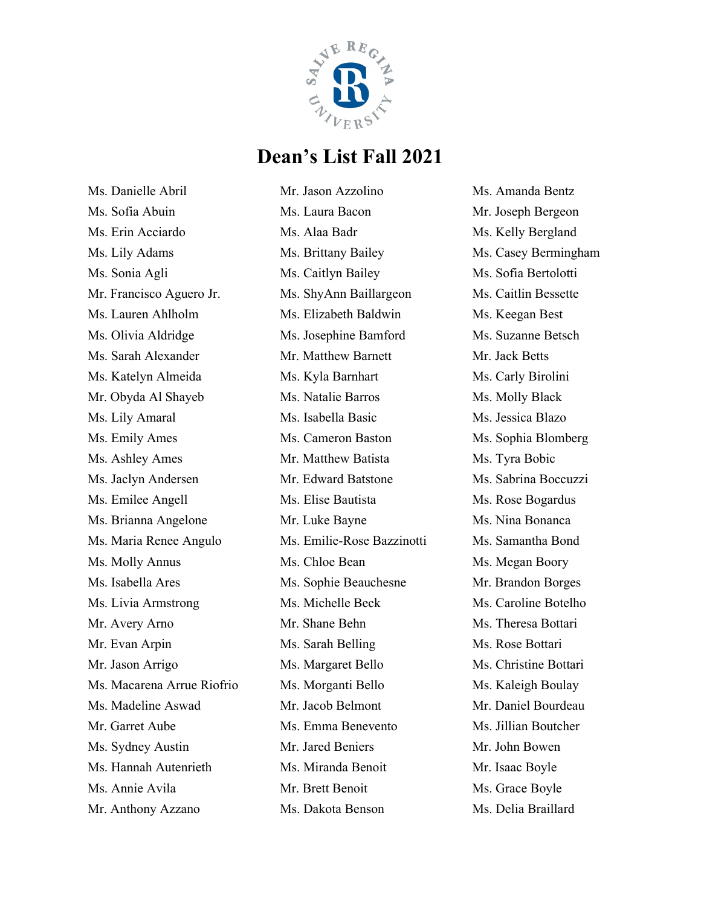

Ms. Danielle Abril Ms. Sofia Abuin Ms. Erin Acciardo Ms. Lily Adams Ms. Sonia Agli Mr. Francisco Aguero Jr. Ms. Lauren Ahlholm Ms. Olivia Aldridge Ms. Sarah Alexander Ms. Katelyn Almeida Mr. Obyda Al Shayeb Ms. Lily Amaral Ms. Emily Ames Ms. Ashley Ames Ms. Jaclyn Andersen Ms. Emilee Angell Ms. Brianna Angelone Ms. Maria Renee Angulo Ms. Molly Annus Ms. Isabella Ares Ms. Livia Armstrong Mr. Avery Arno Mr. Evan Arpin Mr. Jason Arrigo Ms. Macarena Arrue Riofrio Ms. Madeline Aswad Mr. Garret Aube Ms. Sydney Austin Ms. Hannah Autenrieth Ms. Annie Avila Mr. Anthony Azzano

Mr. Jason Azzolino Ms. Laura Bacon Ms. Alaa Badr Ms. Brittany Bailey Ms. Caitlyn Bailey Ms. ShyAnn Baillargeon Ms. Elizabeth Baldwin Ms. Josephine Bamford Mr. Matthew Barnett Ms. Kyla Barnhart Ms. Natalie Barros Ms. Isabella Basic Ms. Cameron Baston Mr. Matthew Batista Mr. Edward Batstone Ms. Elise Bautista Mr. Luke Bayne Ms. Emilie-Rose Bazzinotti Ms. Chloe Bean Ms. Sophie Beauchesne Ms. Michelle Beck Mr. Shane Behn Ms. Sarah Belling Ms. Margaret Bello Ms. Morganti Bello Mr. Jacob Belmont Ms. Emma Benevento Mr. Jared Beniers Ms. Miranda Benoit Mr. Brett Benoit Ms. Dakota Benson

Ms. Amanda Bentz Mr. Joseph Bergeon Ms. Kelly Bergland Ms. Casey Bermingham Ms. Sofia Bertolotti Ms. Caitlin Bessette Ms. Keegan Best Ms. Suzanne Betsch Mr. Jack Betts Ms. Carly Birolini Ms. Molly Black Ms. Jessica Blazo Ms. Sophia Blomberg Ms. Tyra Bobic Ms. Sabrina Boccuzzi Ms. Rose Bogardus Ms. Nina Bonanca Ms. Samantha Bond Ms. Megan Boory Mr. Brandon Borges Ms. Caroline Botelho Ms. Theresa Bottari Ms. Rose Bottari Ms. Christine Bottari Ms. Kaleigh Boulay Mr. Daniel Bourdeau Ms. Jillian Boutcher Mr. John Bowen Mr. Isaac Boyle Ms. Grace Boyle Ms. Delia Braillard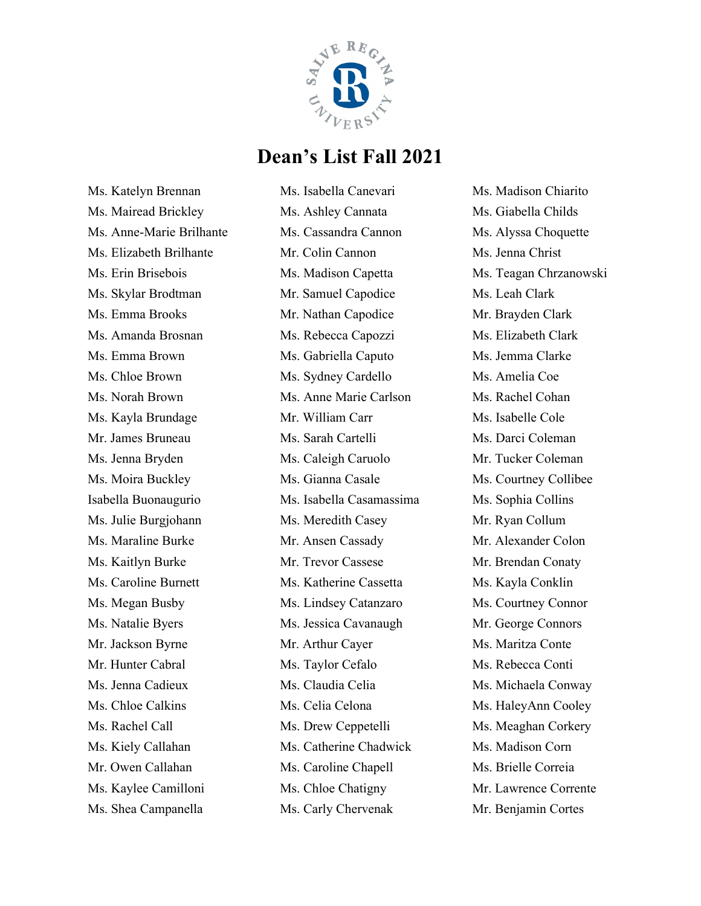

Ms. Katelyn Brennan Ms. Mairead Brickley Ms. Anne-Marie Brilhante Ms. Elizabeth Brilhante Ms. Erin Brisebois Ms. Skylar Brodtman Ms. Emma Brooks Ms. Amanda Brosnan Ms. Emma Brown Ms. Chloe Brown Ms. Norah Brown Ms. Kayla Brundage Mr. James Bruneau Ms. Jenna Bryden Ms. Moira Buckley Isabella Buonaugurio Ms. Julie Burgjohann Ms. Maraline Burke Ms. Kaitlyn Burke Ms. Caroline Burnett Ms. Megan Busby Ms. Natalie Byers Mr. Jackson Byrne Mr. Hunter Cabral Ms. Jenna Cadieux Ms. Chloe Calkins Ms. Rachel Call Ms. Kiely Callahan Mr. Owen Callahan Ms. Kaylee Camilloni Ms. Shea Campanella

Ms. Isabella Canevari Ms. Ashley Cannata Ms. Cassandra Cannon Mr. Colin Cannon Ms. Madison Capetta Mr. Samuel Capodice Mr. Nathan Capodice Ms. Rebecca Capozzi Ms. Gabriella Caputo Ms. Sydney Cardello Ms. Anne Marie Carlson Mr. William Carr Ms. Sarah Cartelli Ms. Caleigh Caruolo Ms. Gianna Casale Ms. Isabella Casamassima Ms. Meredith Casey Mr. Ansen Cassady Mr. Trevor Cassese Ms. Katherine Cassetta Ms. Lindsey Catanzaro Ms. Jessica Cavanaugh Mr. Arthur Cayer Ms. Taylor Cefalo Ms. Claudia Celia Ms. Celia Celona Ms. Drew Ceppetelli Ms. Catherine Chadwick Ms. Caroline Chapell Ms. Chloe Chatigny Ms. Carly Chervenak

Ms. Madison Chiarito Ms. Giabella Childs Ms. Alyssa Choquette Ms. Jenna Christ Ms. Teagan Chrzanowski Ms. Leah Clark Mr. Brayden Clark Ms. Elizabeth Clark Ms. Jemma Clarke Ms. Amelia Coe Ms. Rachel Cohan Ms. Isabelle Cole Ms. Darci Coleman Mr. Tucker Coleman Ms. Courtney Collibee Ms. Sophia Collins Mr. Ryan Collum Mr. Alexander Colon Mr. Brendan Conaty Ms. Kayla Conklin Ms. Courtney Connor Mr. George Connors Ms. Maritza Conte Ms. Rebecca Conti Ms. Michaela Conway Ms. HaleyAnn Cooley Ms. Meaghan Corkery Ms. Madison Corn Ms. Brielle Correia Mr. Lawrence Corrente Mr. Benjamin Cortes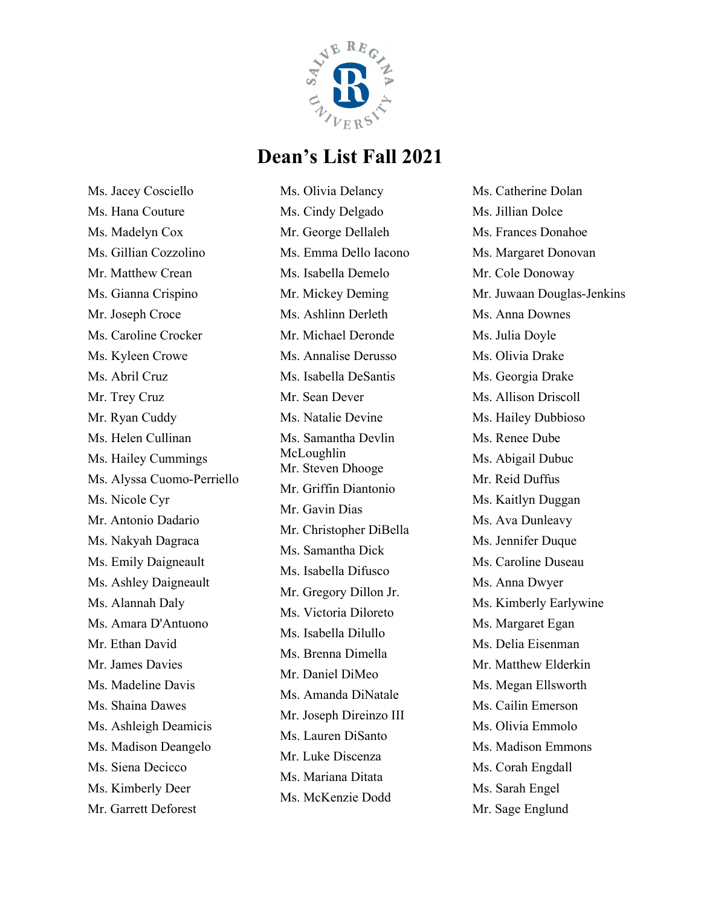

Ms. Jacey Cosciello Ms. Hana Couture Ms. Madelyn Cox Ms. Gillian Cozzolino Mr. Matthew Crean Ms. Gianna Crispino Mr. Joseph Croce Ms. Caroline Crocker Ms. Kyleen Crowe Ms. Abril Cruz Mr. Trey Cruz Mr. Ryan Cuddy Ms. Helen Cullinan Ms. Hailey Cummings Ms. Alyssa Cuomo-Perriello Ms. Nicole Cyr Mr. Antonio Dadario Ms. Nakyah Dagraca Ms. Emily Daigneault Ms. Ashley Daigneault Ms. Alannah Daly Ms. Amara D'Antuono Mr. Ethan David Mr. James Davies Ms. Madeline Davis Ms. Shaina Dawes Ms. Ashleigh Deamicis Ms. Madison Deangelo Ms. Siena Decicco Ms. Kimberly Deer Mr. Garrett Deforest

Ms. Olivia Delancy Ms. Cindy Delgado Mr. George Dellaleh Ms. Emma Dello Iacono Ms. Isabella Demelo Mr. Mickey Deming Ms. Ashlinn Derleth Mr. Michael Deronde Ms. Annalise Derusso Ms. Isabella DeSantis Mr. Sean Dever Ms. Natalie Devine Ms. Samantha Devlin McLoughlin Mr. Steven Dhooge Mr. Griffin Diantonio Mr. Gavin Dias Mr. Christopher DiBella Ms. Samantha Dick Ms. Isabella Difusco Mr. Gregory Dillon Jr. Ms. Victoria Diloreto Ms. Isabella Dilullo Ms. Brenna Dimella Mr. Daniel DiMeo Ms. Amanda DiNatale Mr. Joseph Direinzo III Ms. Lauren DiSanto Mr. Luke Discenza Ms. Mariana Ditata Ms. McKenzie Dodd

Ms. Catherine Dolan Ms. Jillian Dolce Ms. Frances Donahoe Ms. Margaret Donovan Mr. Cole Donoway Mr. Juwaan Douglas-Jenkins Ms. Anna Downes Ms. Julia Doyle Ms. Olivia Drake Ms. Georgia Drake Ms. Allison Driscoll Ms. Hailey Dubbioso Ms. Renee Dube Ms. Abigail Dubuc Mr. Reid Duffus Ms. Kaitlyn Duggan Ms. Ava Dunleavy Ms. Jennifer Duque Ms. Caroline Duseau Ms. Anna Dwyer Ms. Kimberly Earlywine Ms. Margaret Egan Ms. Delia Eisenman Mr. Matthew Elderkin Ms. Megan Ellsworth Ms. Cailin Emerson Ms. Olivia Emmolo Ms. Madison Emmons Ms. Corah Engdall Ms. Sarah Engel Mr. Sage Englund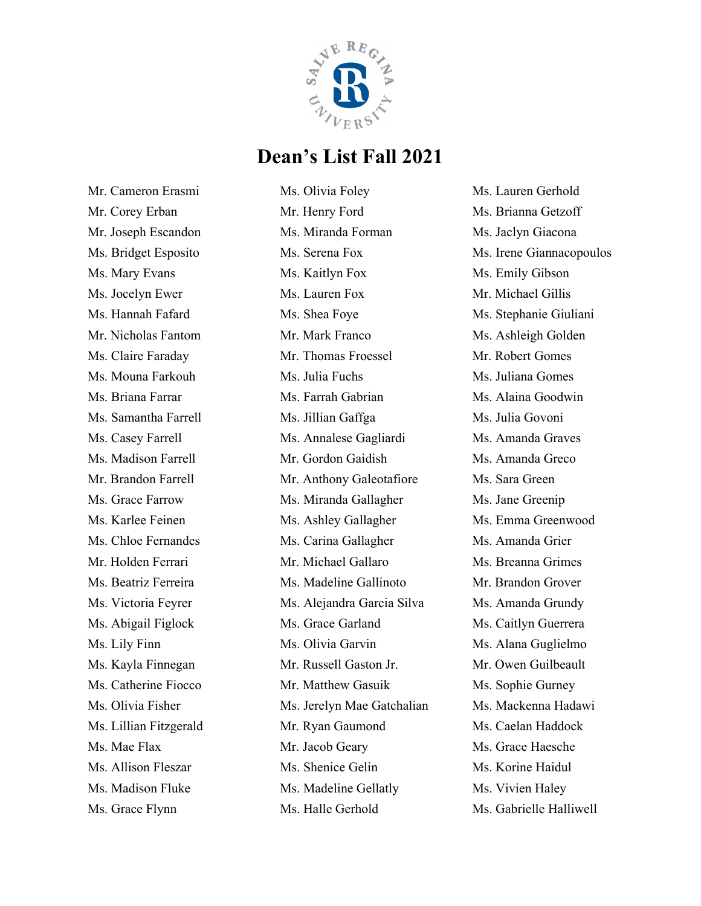

Mr. Cameron Erasmi Mr. Corey Erban Mr. Joseph Escandon Ms. Bridget Esposito Ms. Mary Evans Ms. Jocelyn Ewer Ms. Hannah Fafard Mr. Nicholas Fantom Ms. Claire Faraday Ms. Mouna Farkouh Ms. Briana Farrar Ms. Samantha Farrell Ms. Casey Farrell Ms. Madison Farrell Mr. Brandon Farrell Ms. Grace Farrow Ms. Karlee Feinen Ms. Chloe Fernandes Mr. Holden Ferrari Ms. Beatriz Ferreira Ms. Victoria Feyrer Ms. Abigail Figlock Ms. Lily Finn Ms. Kayla Finnegan Ms. Catherine Fiocco Ms. Olivia Fisher Ms. Lillian Fitzgerald Ms. Mae Flax Ms. Allison Fleszar Ms. Madison Fluke Ms. Grace Flynn

Ms. Olivia Foley Mr. Henry Ford Ms. Miranda Forman Ms. Serena Fox Ms. Kaitlyn Fox Ms. Lauren Fox Ms. Shea Foye Mr. Mark Franco Mr. Thomas Froessel Ms. Julia Fuchs Ms. Farrah Gabrian Ms. Jillian Gaffga Ms. Annalese Gagliardi Mr. Gordon Gaidish Mr. Anthony Galeotafiore Ms. Miranda Gallagher Ms. Ashley Gallagher Ms. Carina Gallagher Mr. Michael Gallaro Ms. Madeline Gallinoto Ms. Alejandra Garcia Silva Ms. Grace Garland Ms. Olivia Garvin Mr. Russell Gaston Jr. Mr. Matthew Gasuik Ms. Jerelyn Mae Gatchalian Mr. Ryan Gaumond Mr. Jacob Geary Ms. Shenice Gelin Ms. Madeline Gellatly Ms. Halle Gerhold

Ms. Lauren Gerhold Ms. Brianna Getzoff Ms. Jaclyn Giacona Ms. Irene Giannacopoulos Ms. Emily Gibson Mr. Michael Gillis Ms. Stephanie Giuliani Ms. Ashleigh Golden Mr. Robert Gomes Ms. Juliana Gomes Ms. Alaina Goodwin Ms. Julia Govoni Ms. Amanda Graves Ms. Amanda Greco Ms. Sara Green Ms. Jane Greenip Ms. Emma Greenwood Ms. Amanda Grier Ms. Breanna Grimes Mr. Brandon Grover Ms. Amanda Grundy Ms. Caitlyn Guerrera Ms. Alana Guglielmo Mr. Owen Guilbeault Ms. Sophie Gurney Ms. Mackenna Hadawi Ms. Caelan Haddock Ms. Grace Haesche Ms. Korine Haidul Ms. Vivien Haley Ms. Gabrielle Halliwell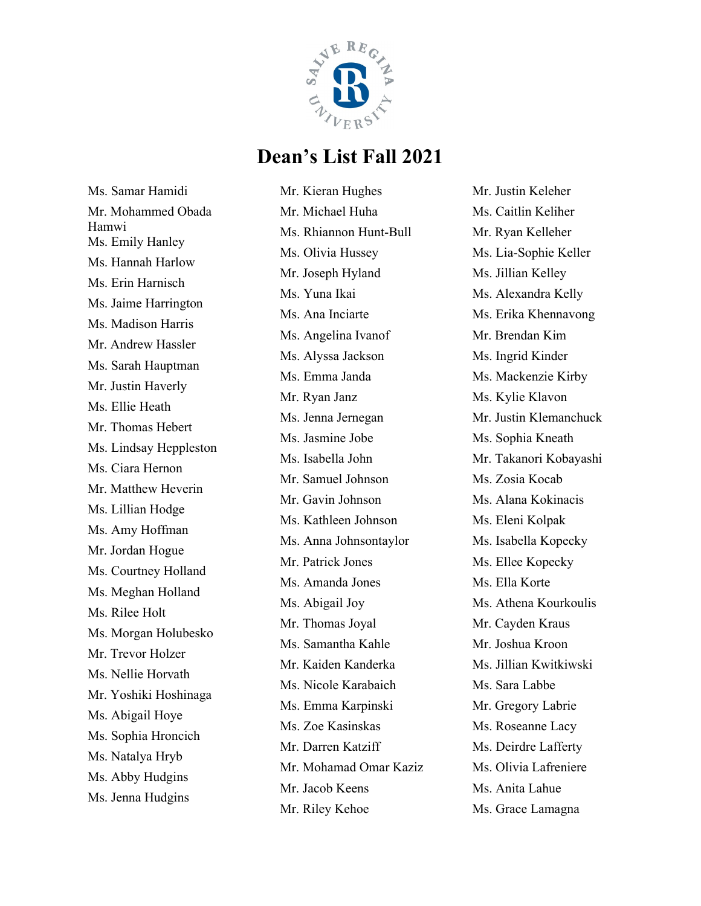

Ms. Samar Hamidi Mr. Mohammed Obada Hamwi Ms. Emily Hanley Ms. Hannah Harlow Ms. Erin Harnisch Ms. Jaime Harrington Ms. Madison Harris Mr. Andrew Hassler Ms. Sarah Hauptman Mr. Justin Haverly Ms. Ellie Heath Mr. Thomas Hebert Ms. Lindsay Heppleston Ms. Ciara Hernon Mr. Matthew Heverin Ms. Lillian Hodge Ms. Amy Hoffman Mr. Jordan Hogue Ms. Courtney Holland Ms. Meghan Holland Ms. Rilee Holt Ms. Morgan Holubesko Mr. Trevor Holzer Ms. Nellie Horvath Mr. Yoshiki Hoshinaga Ms. Abigail Hoye Ms. Sophia Hroncich Ms. Natalya Hryb Ms. Abby Hudgins Ms. Jenna Hudgins

Mr. Kieran Hughes Mr. Michael Huha Ms. Rhiannon Hunt-Bull Ms. Olivia Hussey Mr. Joseph Hyland Ms. Yuna Ikai Ms. Ana Inciarte Ms. Angelina Ivanof Ms. Alyssa Jackson Ms. Emma Janda Mr. Ryan Janz Ms. Jenna Jernegan Ms. Jasmine Jobe Ms. Isabella John Mr. Samuel Johnson Mr. Gavin Johnson Ms. Kathleen Johnson Ms. Anna Johnsontaylor Mr. Patrick Jones Ms. Amanda Jones Ms. Abigail Joy Mr. Thomas Joyal Ms. Samantha Kahle Mr. Kaiden Kanderka Ms. Nicole Karabaich Ms. Emma Karpinski Ms. Zoe Kasinskas Mr. Darren Katziff Mr. Mohamad Omar Kaziz Mr. Jacob Keens Mr. Riley Kehoe

Mr. Justin Keleher Ms. Caitlin Keliher Mr. Ryan Kelleher Ms. Lia-Sophie Keller Ms. Jillian Kelley Ms. Alexandra Kelly Ms. Erika Khennavong Mr. Brendan Kim Ms. Ingrid Kinder Ms. Mackenzie Kirby Ms. Kylie Klavon Mr. Justin Klemanchuck Ms. Sophia Kneath Mr. Takanori Kobayashi Ms. Zosia Kocab Ms. Alana Kokinacis Ms. Eleni Kolpak Ms. Isabella Kopecky Ms. Ellee Kopecky Ms. Ella Korte Ms. Athena Kourkoulis Mr. Cayden Kraus Mr. Joshua Kroon Ms. Jillian Kwitkiwski Ms. Sara Labbe Mr. Gregory Labrie Ms. Roseanne Lacy Ms. Deirdre Lafferty Ms. Olivia Lafreniere Ms. Anita Lahue Ms. Grace Lamagna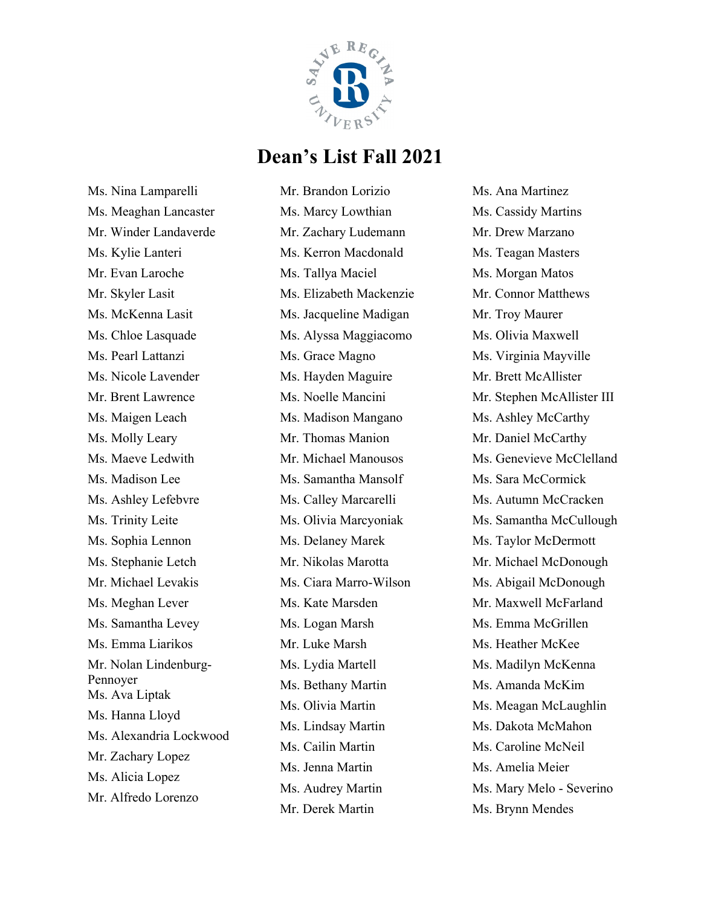

Ms. Nina Lamparelli Ms. Meaghan Lancaster Mr. Winder Landaverde Ms. Kylie Lanteri Mr. Evan Laroche Mr. Skyler Lasit Ms. McKenna Lasit Ms. Chloe Lasquade Ms. Pearl Lattanzi Ms. Nicole Lavender Mr. Brent Lawrence Ms. Maigen Leach Ms. Molly Leary Ms. Maeve Ledwith Ms. Madison Lee Ms. Ashley Lefebvre Ms. Trinity Leite Ms. Sophia Lennon Ms. Stephanie Letch Mr. Michael Levakis Ms. Meghan Lever Ms. Samantha Levey Ms. Emma Liarikos Mr. Nolan Lindenburg-Pennoyer Ms. Ava Liptak Ms. Hanna Lloyd Ms. Alexandria Lockwood Mr. Zachary Lopez Ms. Alicia Lopez Mr. Alfredo Lorenzo

Mr. Brandon Lorizio Ms. Marcy Lowthian Mr. Zachary Ludemann Ms. Kerron Macdonald Ms. Tallya Maciel Ms. Elizabeth Mackenzie Ms. Jacqueline Madigan Ms. Alyssa Maggiacomo Ms. Grace Magno Ms. Hayden Maguire Ms. Noelle Mancini Ms. Madison Mangano Mr. Thomas Manion Mr. Michael Manousos Ms. Samantha Mansolf Ms. Calley Marcarelli Ms. Olivia Marcyoniak Ms. Delaney Marek Mr. Nikolas Marotta Ms. Ciara Marro-Wilson Ms. Kate Marsden Ms. Logan Marsh Mr. Luke Marsh Ms. Lydia Martell Ms. Bethany Martin Ms. Olivia Martin Ms. Lindsay Martin Ms. Cailin Martin Ms. Jenna Martin Ms. Audrey Martin Mr. Derek Martin

Ms. Ana Martinez Ms. Cassidy Martins Mr. Drew Marzano Ms. Teagan Masters Ms. Morgan Matos Mr. Connor Matthews Mr. Troy Maurer Ms. Olivia Maxwell Ms. Virginia Mayville Mr. Brett McAllister Mr. Stephen McAllister III Ms. Ashley McCarthy Mr. Daniel McCarthy Ms. Genevieve McClelland Ms. Sara McCormick Ms. Autumn McCracken Ms. Samantha McCullough Ms. Taylor McDermott Mr. Michael McDonough Ms. Abigail McDonough Mr. Maxwell McFarland Ms. Emma McGrillen Ms. Heather McKee Ms. Madilyn McKenna Ms. Amanda McKim Ms. Meagan McLaughlin Ms. Dakota McMahon Ms. Caroline McNeil Ms. Amelia Meier Ms. Mary Melo - Severino Ms. Brynn Mendes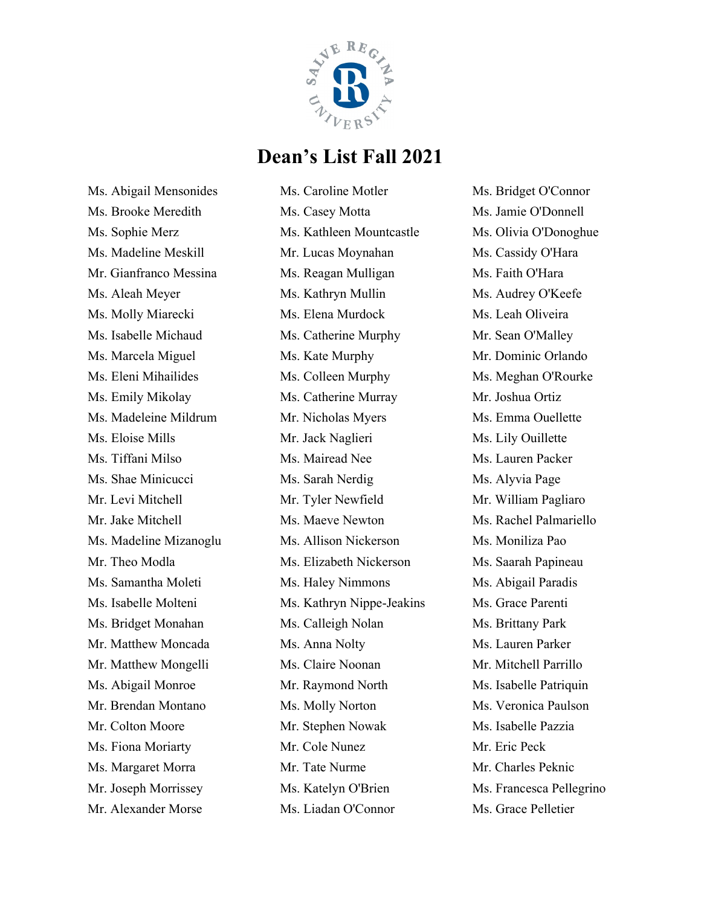

Ms. Abigail Mensonides Ms. Brooke Meredith Ms. Sophie Merz Ms. Madeline Meskill Mr. Gianfranco Messina Ms. Aleah Meyer Ms. Molly Miarecki Ms. Isabelle Michaud Ms. Marcela Miguel Ms. Eleni Mihailides Ms. Emily Mikolay Ms. Madeleine Mildrum Ms. Eloise Mills Ms. Tiffani Milso Ms. Shae Minicucci Mr. Levi Mitchell Mr. Jake Mitchell Ms. Madeline Mizanoglu Mr. Theo Modla Ms. Samantha Moleti Ms. Isabelle Molteni Ms. Bridget Monahan Mr. Matthew Moncada Mr. Matthew Mongelli Ms. Abigail Monroe Mr. Brendan Montano Mr. Colton Moore Ms. Fiona Moriarty Ms. Margaret Morra Mr. Joseph Morrissey Mr. Alexander Morse

Ms. Caroline Motler Ms. Casey Motta Ms. Kathleen Mountcastle Mr. Lucas Moynahan Ms. Reagan Mulligan Ms. Kathryn Mullin Ms. Elena Murdock Ms. Catherine Murphy Ms. Kate Murphy Ms. Colleen Murphy Ms. Catherine Murray Mr. Nicholas Myers Mr. Jack Naglieri Ms. Mairead Nee Ms. Sarah Nerdig Mr. Tyler Newfield Ms. Maeve Newton Ms. Allison Nickerson Ms. Elizabeth Nickerson Ms. Haley Nimmons Ms. Kathryn Nippe-Jeakins Ms. Calleigh Nolan Ms. Anna Nolty Ms. Claire Noonan Mr. Raymond North Ms. Molly Norton Mr. Stephen Nowak Mr. Cole Nunez Mr. Tate Nurme Ms. Katelyn O'Brien Ms. Liadan O'Connor

Ms. Bridget O'Connor Ms. Jamie O'Donnell Ms. Olivia O'Donoghue Ms. Cassidy O'Hara Ms. Faith O'Hara Ms. Audrey O'Keefe Ms. Leah Oliveira Mr. Sean O'Malley Mr. Dominic Orlando Ms. Meghan O'Rourke Mr. Joshua Ortiz Ms. Emma Ouellette Ms. Lily Ouillette Ms. Lauren Packer Ms. Alyvia Page Mr. William Pagliaro Ms. Rachel Palmariello Ms. Moniliza Pao Ms. Saarah Papineau Ms. Abigail Paradis Ms. Grace Parenti Ms. Brittany Park Ms. Lauren Parker Mr. Mitchell Parrillo Ms. Isabelle Patriquin Ms. Veronica Paulson Ms. Isabelle Pazzia Mr. Eric Peck Mr. Charles Peknic Ms. Francesca Pellegrino Ms. Grace Pelletier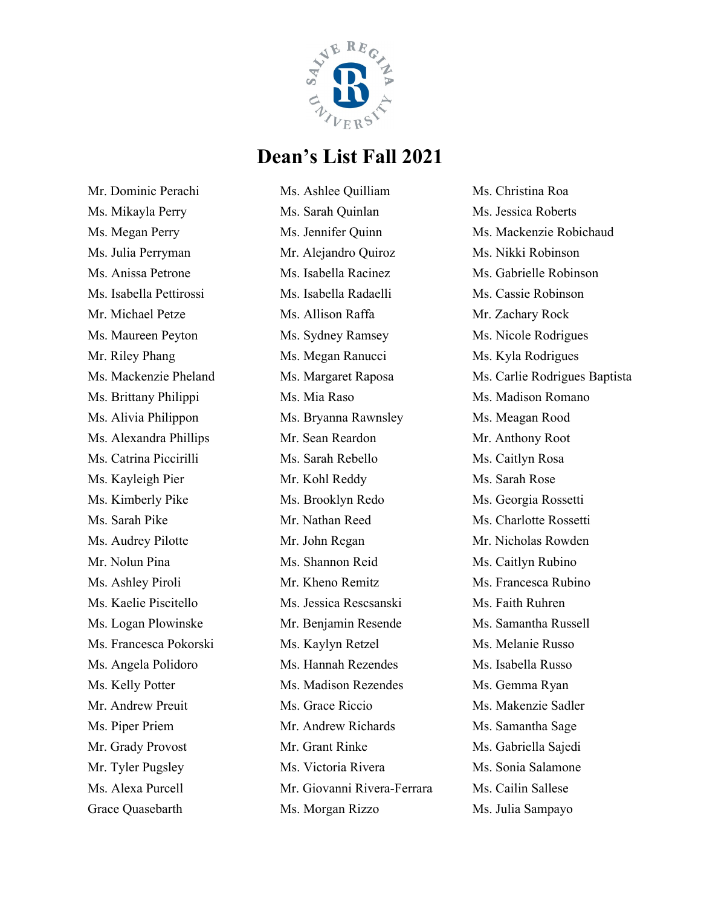

Mr. Dominic Perachi Ms. Mikayla Perry Ms. Megan Perry Ms. Julia Perryman Ms. Anissa Petrone Ms. Isabella Pettirossi Mr. Michael Petze Ms. Maureen Peyton Mr. Riley Phang Ms. Mackenzie Pheland Ms. Brittany Philippi Ms. Alivia Philippon Ms. Alexandra Phillips Ms. Catrina Piccirilli Ms. Kayleigh Pier Ms. Kimberly Pike Ms. Sarah Pike Ms. Audrey Pilotte Mr. Nolun Pina Ms. Ashley Piroli Ms. Kaelie Piscitello Ms. Logan Plowinske Ms. Francesca Pokorski Ms. Angela Polidoro Ms. Kelly Potter Mr. Andrew Preuit Ms. Piper Priem Mr. Grady Provost Mr. Tyler Pugsley Ms. Alexa Purcell Grace Quasebarth

Ms. Ashlee Quilliam Ms. Sarah Quinlan Ms. Jennifer Quinn Mr. Alejandro Quiroz Ms. Isabella Racinez Ms. Isabella Radaelli Ms. Allison Raffa Ms. Sydney Ramsey Ms. Megan Ranucci Ms. Margaret Raposa Ms. Mia Raso Ms. Bryanna Rawnsley Mr. Sean Reardon Ms. Sarah Rebello Mr. Kohl Reddy Ms. Brooklyn Redo Mr. Nathan Reed Mr. John Regan Ms. Shannon Reid Mr. Kheno Remitz Ms. Jessica Rescsanski Mr. Benjamin Resende Ms. Kaylyn Retzel Ms. Hannah Rezendes Ms. Madison Rezendes Ms. Grace Riccio Mr. Andrew Richards Mr. Grant Rinke Ms. Victoria Rivera Mr. Giovanni Rivera-Ferrara Ms. Morgan Rizzo

Ms. Christina Roa Ms. Jessica Roberts Ms. Mackenzie Robichaud Ms. Nikki Robinson Ms. Gabrielle Robinson Ms. Cassie Robinson Mr. Zachary Rock Ms. Nicole Rodrigues Ms. Kyla Rodrigues Ms. Carlie Rodrigues Baptista Ms. Madison Romano Ms. Meagan Rood Mr. Anthony Root Ms. Caitlyn Rosa Ms. Sarah Rose Ms. Georgia Rossetti Ms. Charlotte Rossetti Mr. Nicholas Rowden Ms. Caitlyn Rubino Ms. Francesca Rubino Ms. Faith Ruhren Ms. Samantha Russell Ms. Melanie Russo Ms. Isabella Russo Ms. Gemma Ryan Ms. Makenzie Sadler Ms. Samantha Sage Ms. Gabriella Sajedi Ms. Sonia Salamone Ms. Cailin Sallese Ms. Julia Sampayo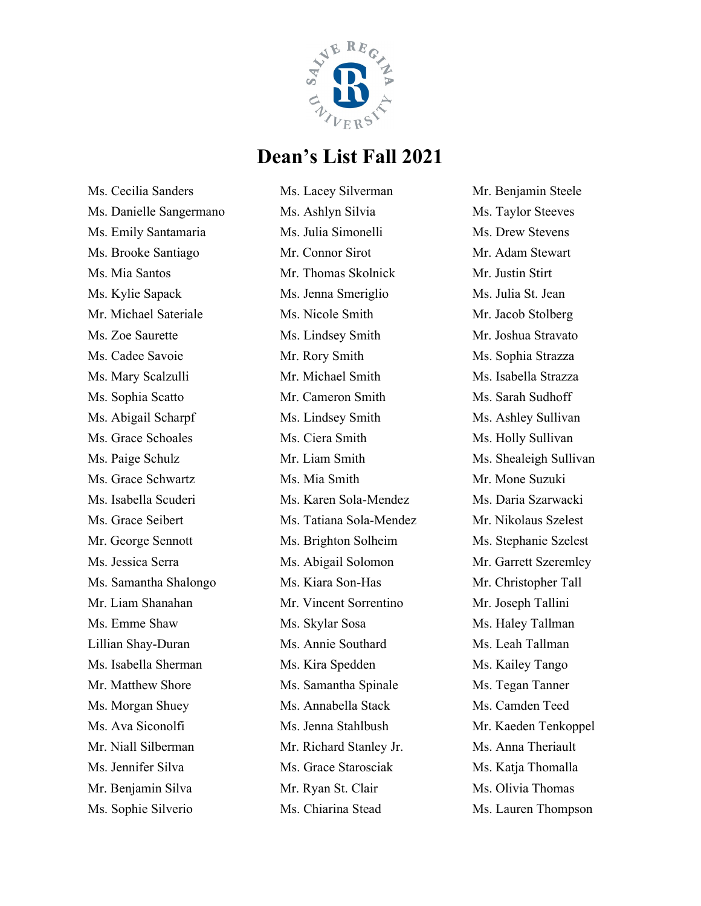

Ms. Cecilia Sanders Ms. Danielle Sangermano Ms. Emily Santamaria Ms. Brooke Santiago Ms. Mia Santos Ms. Kylie Sapack Mr. Michael Sateriale Ms. Zoe Saurette Ms. Cadee Savoie Ms. Mary Scalzulli Ms. Sophia Scatto Ms. Abigail Scharpf Ms. Grace Schoales Ms. Paige Schulz Ms. Grace Schwartz Ms. Isabella Scuderi Ms. Grace Seibert Mr. George Sennott Ms. Jessica Serra Ms. Samantha Shalongo Mr. Liam Shanahan Ms. Emme Shaw Lillian Shay-Duran Ms. Isabella Sherman Mr. Matthew Shore Ms. Morgan Shuey Ms. Ava Siconolfi Mr. Niall Silberman Ms. Jennifer Silva Mr. Benjamin Silva Ms. Sophie Silverio

Ms. Lacey Silverman Ms. Ashlyn Silvia Ms. Julia Simonelli Mr. Connor Sirot Mr. Thomas Skolnick Ms. Jenna Smeriglio Ms. Nicole Smith Ms. Lindsey Smith Mr. Rory Smith Mr. Michael Smith Mr. Cameron Smith Ms. Lindsey Smith Ms. Ciera Smith Mr. Liam Smith Ms. Mia Smith Ms. Karen Sola-Mendez Ms. Tatiana Sola-Mendez Ms. Brighton Solheim Ms. Abigail Solomon Ms. Kiara Son-Has Mr. Vincent Sorrentino Ms. Skylar Sosa Ms. Annie Southard Ms. Kira Spedden Ms. Samantha Spinale Ms. Annabella Stack Ms. Jenna Stahlbush Mr. Richard Stanley Jr. Ms. Grace Starosciak Mr. Ryan St. Clair Ms. Chiarina Stead

Mr. Benjamin Steele Ms. Taylor Steeves Ms. Drew Stevens Mr. Adam Stewart Mr. Justin Stirt Ms. Julia St. Jean Mr. Jacob Stolberg Mr. Joshua Stravato Ms. Sophia Strazza Ms. Isabella Strazza Ms. Sarah Sudhoff Ms. Ashley Sullivan Ms. Holly Sullivan Ms. Shealeigh Sullivan Mr. Mone Suzuki Ms. Daria Szarwacki Mr. Nikolaus Szelest Ms. Stephanie Szelest Mr. Garrett Szeremley Mr. Christopher Tall Mr. Joseph Tallini Ms. Haley Tallman Ms. Leah Tallman Ms. Kailey Tango Ms. Tegan Tanner Ms. Camden Teed Mr. Kaeden Tenkoppel Ms. Anna Theriault Ms. Katja Thomalla Ms. Olivia Thomas Ms. Lauren Thompson